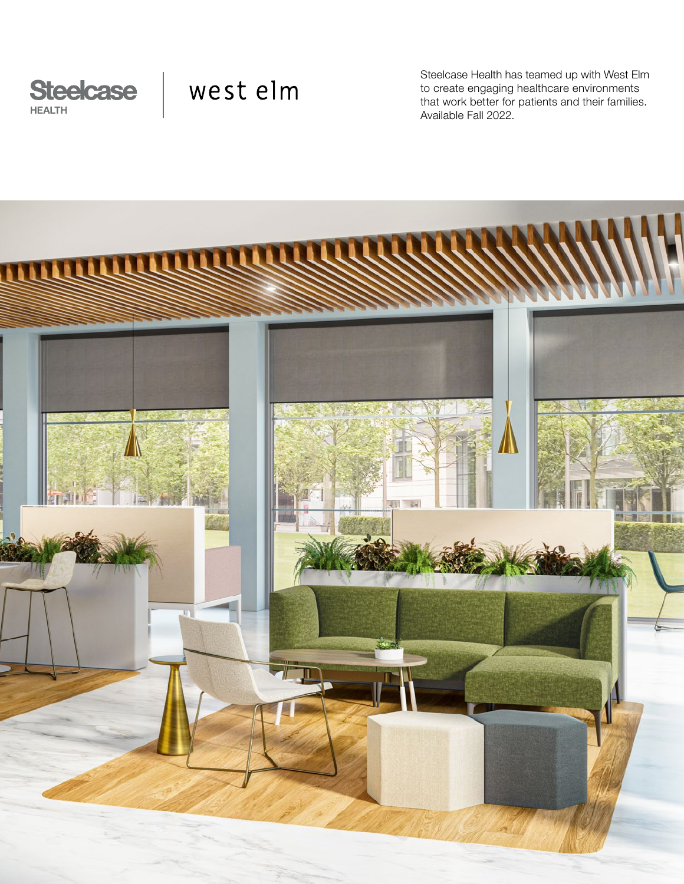

# west elm

Steelcase Health has teamed up with West Elm to create engaging healthcare environments that work better for patients and their families. Available Fall 2022.

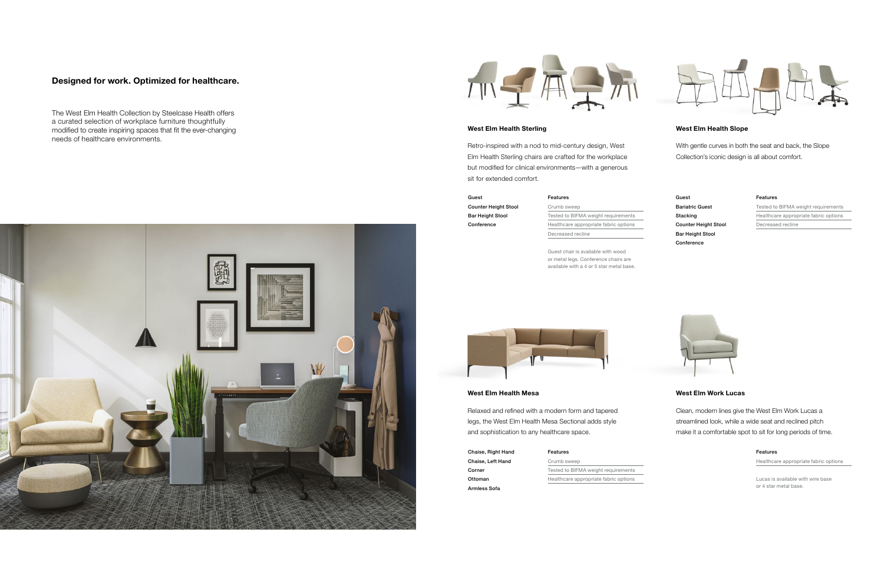## West Elm Health Mesa

Relaxed and refined with a modern form and tapered legs, the West Elm Health Mesa Sectional adds style and sophistication to any healthcare space.

Chaise, Right Hand Chaise, Left Hand Corner Ottoman Armless Sofa

# West Elm Health Slope

With gentle curves in both the seat and back, the Slope Collection's iconic design is all about comfort.

Guest Bariatric Guest Stacking Counter Height Stool Bar Height Stool Conference

# West Elm Health Sterling

Retro-inspired with a nod to mid-century design, West Elm Health Sterling chairs are crafted for the workplace but modified for clinical environments—with a generous sit for extended comfort.

# West Elm Work Lucas

Clean, modern lines give the West Elm Work Lucas a streamlined look, while a wide seat and reclined pitch make it a comfortable spot to sit for long periods of time.

# Designed for work. Optimized for healthcare.

The West Elm Health Collection by Steelcase Health offers a curated selection of workplace furniture thoughtfully modified to create inspiring spaces that fit the ever-changing needs of healthcare environments.





# Guest

Counter Height Stool Bar Height Stool Conference

> Guest chair is available with wood or metal legs. Conference chairs are available with a 4 or 5 star metal base.



Lucas is available with wire base or 4 star metal base.

#### Features

Tested to BIFMA weight requirements Healthcare appropriate fabric options Decreased recline



# Features

Crumb sweep Tested to BIFMA weight requirements Healthcare appropriate fabric options Decreased recline

#### Features

Crumb sweep Tested to BIFMA weight requirements Healthcare appropriate fabric options



### Features

Healthcare appropriate fabric options